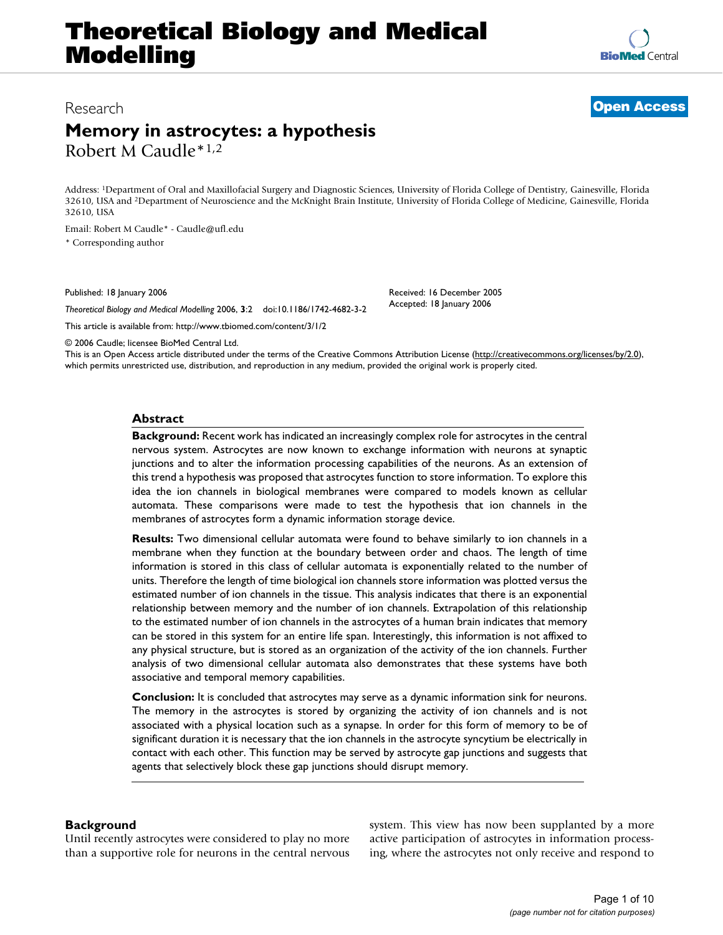# **Theoretical Biology and Medical Modelling**

**[BioMed](http://www.biomedcentral.com/)** Central

# **Memory in astrocytes: a hypothesis** Robert M Caudle\*1,2

Address: 1Department of Oral and Maxillofacial Surgery and Diagnostic Sciences, University of Florida College of Dentistry, Gainesville, Florida 32610, USA and 2Department of Neuroscience and the McKnight Brain Institute, University of Florida College of Medicine, Gainesville, Florida 32610, USA

Email: Robert M Caudle\* - Caudle@ufl.edu

\* Corresponding author

Published: 18 January 2006

*Theoretical Biology and Medical Modelling* 2006, **3**:2 doi:10.1186/1742-4682-3-2

[This article is available from: http://www.tbiomed.com/content/3/1/2](http://www.tbiomed.com/content/3/1/2)

© 2006 Caudle; licensee BioMed Central Ltd.

This is an Open Access article distributed under the terms of the Creative Commons Attribution License [\(http://creativecommons.org/licenses/by/2.0\)](http://creativecommons.org/licenses/by/2.0), which permits unrestricted use, distribution, and reproduction in any medium, provided the original work is properly cited.

Received: 16 December 2005 Accepted: 18 January 2006

# **Abstract**

**Background:** Recent work has indicated an increasingly complex role for astrocytes in the central nervous system. Astrocytes are now known to exchange information with neurons at synaptic junctions and to alter the information processing capabilities of the neurons. As an extension of this trend a hypothesis was proposed that astrocytes function to store information. To explore this idea the ion channels in biological membranes were compared to models known as cellular automata. These comparisons were made to test the hypothesis that ion channels in the membranes of astrocytes form a dynamic information storage device.

**Results:** Two dimensional cellular automata were found to behave similarly to ion channels in a membrane when they function at the boundary between order and chaos. The length of time information is stored in this class of cellular automata is exponentially related to the number of units. Therefore the length of time biological ion channels store information was plotted versus the estimated number of ion channels in the tissue. This analysis indicates that there is an exponential relationship between memory and the number of ion channels. Extrapolation of this relationship to the estimated number of ion channels in the astrocytes of a human brain indicates that memory can be stored in this system for an entire life span. Interestingly, this information is not affixed to any physical structure, but is stored as an organization of the activity of the ion channels. Further analysis of two dimensional cellular automata also demonstrates that these systems have both associative and temporal memory capabilities.

**Conclusion:** It is concluded that astrocytes may serve as a dynamic information sink for neurons. The memory in the astrocytes is stored by organizing the activity of ion channels and is not associated with a physical location such as a synapse. In order for this form of memory to be of significant duration it is necessary that the ion channels in the astrocyte syncytium be electrically in contact with each other. This function may be served by astrocyte gap junctions and suggests that agents that selectively block these gap junctions should disrupt memory.

# **Background**

Until recently astrocytes were considered to play no more than a supportive role for neurons in the central nervous system. This view has now been supplanted by a more active participation of astrocytes in information processing, where the astrocytes not only receive and respond to

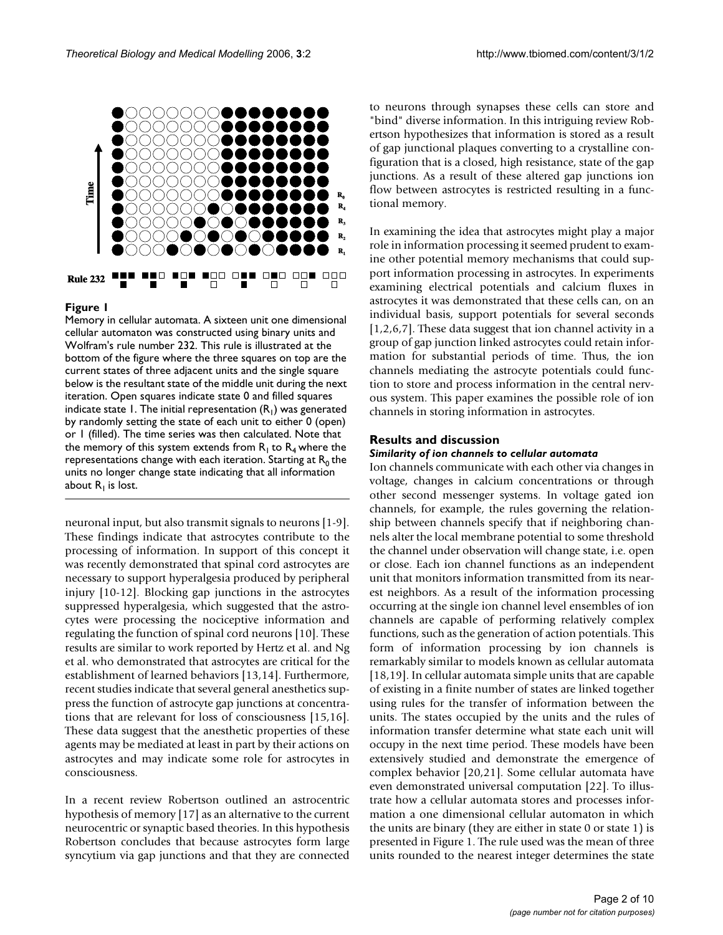

# **Figure 1**

Memory in cellular automata. A sixteen unit one dimensional cellular automaton was constructed using binary units and Wolfram's rule number 232. This rule is illustrated at the bottom of the figure where the three squares on top are the current states of three adjacent units and the single square below is the resultant state of the middle unit during the next iteration. Open squares indicate state 0 and filled squares indicate state 1. The initial representation  $(R_1)$  was generated by randomly setting the state of each unit to either 0 (open) or 1 (filled). The time series was then calculated. Note that the memory of this system extends from  $R_1$  to  $R_4$  where the representations change with each iteration. Starting at  $R_0$  the units no longer change state indicating that all information **about R**<br>**Example 232**<br>**Eigure 1**<br>**Eigure 1**<br>**Eigure 1**<br>**Eigure 1**<br>**Constrainery in cellular automain Wolfram's rule bottom of the ficurent states check below is the respectively. The memory of representations in longer a** 

neuronal input, but also transmit signals to neurons [1-9]. These findings indicate that astrocytes contribute to the processing of information. In support of this concept it was recently demonstrated that spinal cord astrocytes are necessary to support hyperalgesia produced by peripheral injury [10-12]. Blocking gap junctions in the astrocytes suppressed hyperalgesia, which suggested that the astrocytes were processing the nociceptive information and regulating the function of spinal cord neurons [10]. These results are similar to work reported by Hertz et al. and Ng et al. who demonstrated that astrocytes are critical for the establishment of learned behaviors [13,14]. Furthermore, recent studies indicate that several general anesthetics suppress the function of astrocyte gap junctions at concentrations that are relevant for loss of consciousness [15,16]. These data suggest that the anesthetic properties of these agents may be mediated at least in part by their actions on astrocytes and may indicate some role for astrocytes in consciousness.

In a recent review Robertson outlined an astrocentric hypothesis of memory [17] as an alternative to the current neurocentric or synaptic based theories. In this hypothesis Robertson concludes that because astrocytes form large syncytium via gap junctions and that they are connected to neurons through synapses these cells can store and "bind" diverse information. In this intriguing review Robertson hypothesizes that information is stored as a result of gap junctional plaques converting to a crystalline configuration that is a closed, high resistance, state of the gap junctions. As a result of these altered gap junctions ion flow between astrocytes is restricted resulting in a functional memory.

In examining the idea that astrocytes might play a major role in information processing it seemed prudent to examine other potential memory mechanisms that could support information processing in astrocytes. In experiments examining electrical potentials and calcium fluxes in astrocytes it was demonstrated that these cells can, on an individual basis, support potentials for several seconds [1,2,6,7]. These data suggest that ion channel activity in a group of gap junction linked astrocytes could retain information for substantial periods of time. Thus, the ion channels mediating the astrocyte potentials could function to store and process information in the central nervous system. This paper examines the possible role of ion channels in storing information in astrocytes.

# **Results and discussion**

#### *Similarity of ion channels to cellular automata*

Ion channels communicate with each other via changes in voltage, changes in calcium concentrations or through other second messenger systems. In voltage gated ion channels, for example, the rules governing the relationship between channels specify that if neighboring channels alter the local membrane potential to some threshold the channel under observation will change state, i.e. open or close. Each ion channel functions as an independent unit that monitors information transmitted from its nearest neighbors. As a result of the information processing occurring at the single ion channel level ensembles of ion channels are capable of performing relatively complex functions, such as the generation of action potentials. This form of information processing by ion channels is remarkably similar to models known as cellular automata [18,19]. In cellular automata simple units that are capable of existing in a finite number of states are linked together using rules for the transfer of information between the units. The states occupied by the units and the rules of information transfer determine what state each unit will occupy in the next time period. These models have been extensively studied and demonstrate the emergence of complex behavior [20,21]. Some cellular automata have even demonstrated universal computation [22]. To illustrate how a cellular automata stores and processes information a one dimensional cellular automaton in which the units are binary (they are either in state 0 or state 1) is presented in Figure 1. The rule used was the mean of three units rounded to the nearest integer determines the state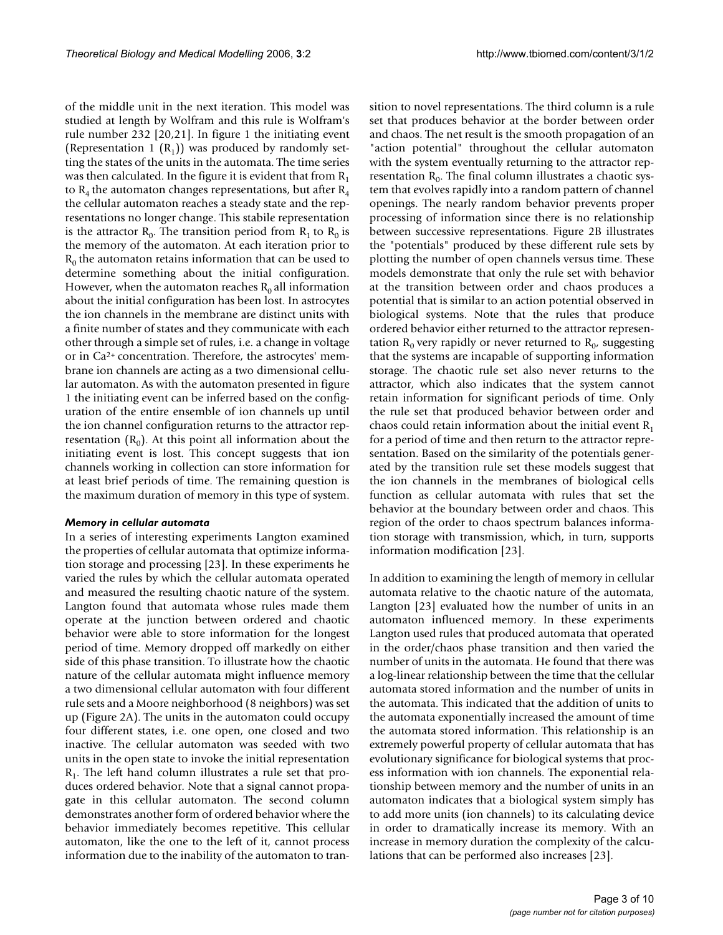of the middle unit in the next iteration. This model was studied at length by Wolfram and this rule is Wolfram's rule number 232 [20,21]. In figure 1 the initiating event (Representation 1  $(R_1)$ ) was produced by randomly setting the states of the units in the automata. The time series was then calculated. In the figure it is evident that from  $R_1$ to  $R_4$  the automaton changes representations, but after  $R_4$ the cellular automaton reaches a steady state and the representations no longer change. This stabile representation is the attractor  $R_0$ . The transition period from  $R_1$  to  $R_0$  is the memory of the automaton. At each iteration prior to  $R_0$  the automaton retains information that can be used to determine something about the initial configuration. However, when the automaton reaches  $R_0$  all information about the initial configuration has been lost. In astrocytes the ion channels in the membrane are distinct units with a finite number of states and they communicate with each other through a simple set of rules, i.e. a change in voltage or in Ca2+ concentration. Therefore, the astrocytes' membrane ion channels are acting as a two dimensional cellular automaton. As with the automaton presented in figure 1 the initiating event can be inferred based on the configuration of the entire ensemble of ion channels up until the ion channel configuration returns to the attractor representation  $(R_0)$ . At this point all information about the initiating event is lost. This concept suggests that ion channels working in collection can store information for at least brief periods of time. The remaining question is the maximum duration of memory in this type of system.

#### *Memory in cellular automata*

In a series of interesting experiments Langton examined the properties of cellular automata that optimize information storage and processing [23]. In these experiments he varied the rules by which the cellular automata operated and measured the resulting chaotic nature of the system. Langton found that automata whose rules made them operate at the junction between ordered and chaotic behavior were able to store information for the longest period of time. Memory dropped off markedly on either side of this phase transition. To illustrate how the chaotic nature of the cellular automata might influence memory a two dimensional cellular automaton with four different rule sets and a Moore neighborhood (8 neighbors) was set up (Figure 2A). The units in the automaton could occupy four different states, i.e. one open, one closed and two inactive. The cellular automaton was seeded with two units in the open state to invoke the initial representation  $R_1$ . The left hand column illustrates a rule set that produces ordered behavior. Note that a signal cannot propagate in this cellular automaton. The second column demonstrates another form of ordered behavior where the behavior immediately becomes repetitive. This cellular automaton, like the one to the left of it, cannot process information due to the inability of the automaton to transition to novel representations. The third column is a rule set that produces behavior at the border between order and chaos. The net result is the smooth propagation of an "action potential" throughout the cellular automaton with the system eventually returning to the attractor representation  $R_0$ . The final column illustrates a chaotic system that evolves rapidly into a random pattern of channel openings. The nearly random behavior prevents proper processing of information since there is no relationship between successive representations. Figure 2B illustrates the "potentials" produced by these different rule sets by plotting the number of open channels versus time. These models demonstrate that only the rule set with behavior at the transition between order and chaos produces a potential that is similar to an action potential observed in biological systems. Note that the rules that produce ordered behavior either returned to the attractor representation  $R_0$  very rapidly or never returned to  $R_0$ , suggesting that the systems are incapable of supporting information storage. The chaotic rule set also never returns to the attractor, which also indicates that the system cannot retain information for significant periods of time. Only the rule set that produced behavior between order and chaos could retain information about the initial event  $R_1$ for a period of time and then return to the attractor representation. Based on the similarity of the potentials generated by the transition rule set these models suggest that the ion channels in the membranes of biological cells function as cellular automata with rules that set the behavior at the boundary between order and chaos. This region of the order to chaos spectrum balances information storage with transmission, which, in turn, supports information modification [23].

In addition to examining the length of memory in cellular automata relative to the chaotic nature of the automata, Langton [23] evaluated how the number of units in an automaton influenced memory. In these experiments Langton used rules that produced automata that operated in the order/chaos phase transition and then varied the number of units in the automata. He found that there was a log-linear relationship between the time that the cellular automata stored information and the number of units in the automata. This indicated that the addition of units to the automata exponentially increased the amount of time the automata stored information. This relationship is an extremely powerful property of cellular automata that has evolutionary significance for biological systems that process information with ion channels. The exponential relationship between memory and the number of units in an automaton indicates that a biological system simply has to add more units (ion channels) to its calculating device in order to dramatically increase its memory. With an increase in memory duration the complexity of the calculations that can be performed also increases [23].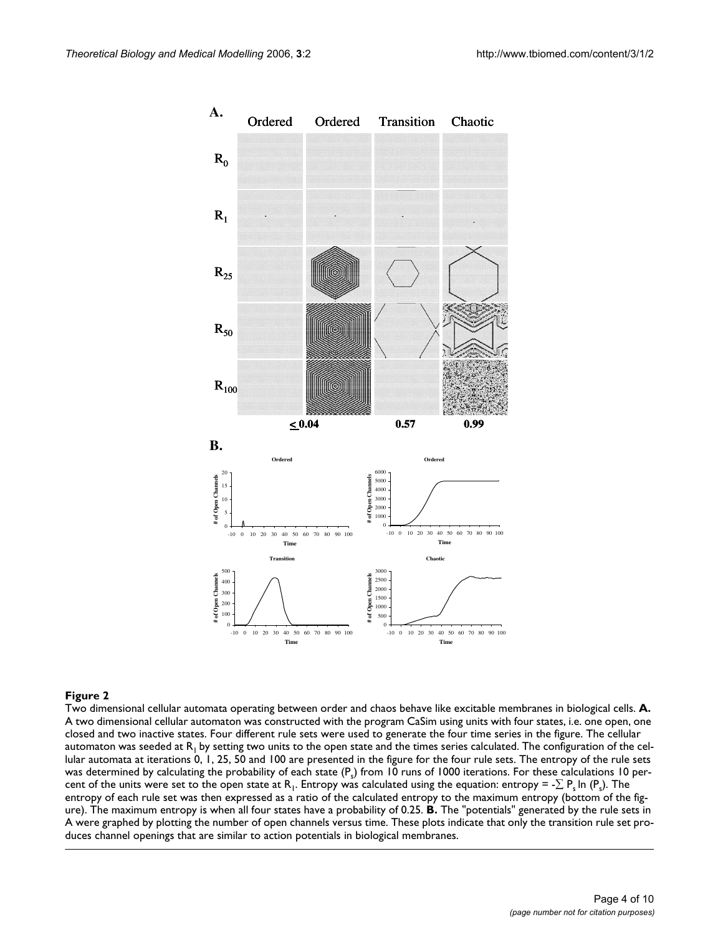

#### Two dimensional cellular automata operat **Figure 2** ing between order and chaos behave like excitable membranes in biological cells

Two dimensional cellular automata operating between order and chaos behave like excitable membranes in biological cells. **A.**  A two dimensional cellular automaton was constructed with the program CaSim using units with four states, i.e. one open, one closed and two inactive states. Four different rule sets were used to generate the four time series in the figure. The cellular automaton was seeded at  $R_1$  by setting two units to the open state and the times series calculated. The configuration of the cellular automata at iterations 0, 1, 25, 50 and 100 are presented in the figure for the four rule sets. The entropy of the rule sets was determined by calculating the probability of each state (P<sub>s</sub>) from 10 runs of 1000 iterations. For these calculations 10 percent of the units were set to the open state at R<sub>1</sub>. Entropy was calculated using the equation: entropy = - $\Sigma$  P<sub>s</sub> ln (P<sub>s</sub>). The entropy of each rule set was then expressed as a ratio of the calculated entropy to the maximum entropy (bottom of the figure). The maximum entropy is when all four states have a probability of 0.25. **B.** The "potentials" generated by the rule sets in A were graphed by plotting the number of open channels versus time. These plots indicate that only the transition rule set produces channel openings that are similar to action potentials in biological membranes.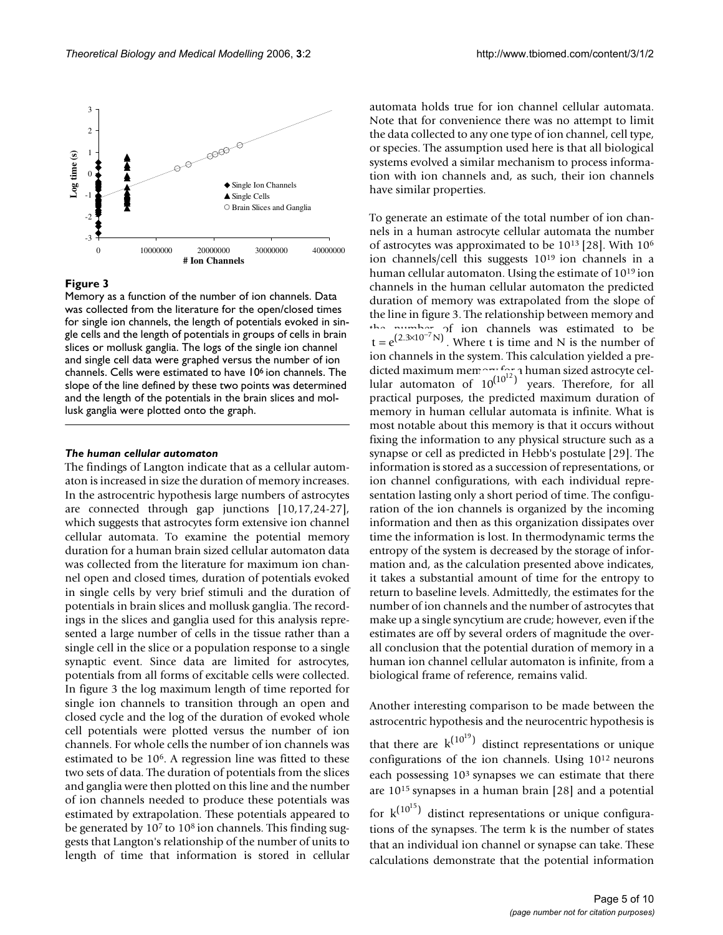

### **Figure 3**

Memory as a function of the number of ion channels. Data was collected from the literature for the open/closed times for single ion channels, the length of potentials evoked in single cells and the length of potentials in groups of cells in brain slices or mollusk ganglia. The logs of the single ion channel and single cell data were graphed versus the number of ion channels. Cells were estimated to have 106 ion channels. The slope of the line defined by these two points was determined and the length of the potentials in the brain slices and mollusk ganglia were plotted onto the graph.

#### *The human cellular automaton*

The findings of Langton indicate that as a cellular automaton is increased in size the duration of memory increases. In the astrocentric hypothesis large numbers of astrocytes are connected through gap junctions [10,17,24-27], which suggests that astrocytes form extensive ion channel cellular automata. To examine the potential memory duration for a human brain sized cellular automaton data was collected from the literature for maximum ion channel open and closed times, duration of potentials evoked in single cells by very brief stimuli and the duration of potentials in brain slices and mollusk ganglia. The recordings in the slices and ganglia used for this analysis represented a large number of cells in the tissue rather than a single cell in the slice or a population response to a single synaptic event. Since data are limited for astrocytes, potentials from all forms of excitable cells were collected. In figure 3 the log maximum length of time reported for single ion channels to transition through an open and closed cycle and the log of the duration of evoked whole cell potentials were plotted versus the number of ion channels. For whole cells the number of ion channels was estimated to be 106. A regression line was fitted to these two sets of data. The duration of potentials from the slices and ganglia were then plotted on this line and the number of ion channels needed to produce these potentials was estimated by extrapolation. These potentials appeared to be generated by  $10<sup>7</sup>$  to  $10<sup>8</sup>$  ion channels. This finding suggests that Langton's relationship of the number of units to length of time that information is stored in cellular

automata holds true for ion channel cellular automata. Note that for convenience there was no attempt to limit the data collected to any one type of ion channel, cell type, or species. The assumption used here is that all biological systems evolved a similar mechanism to process information with ion channels and, as such, their ion channels have similar properties.

To generate an estimate of the total number of ion channels in a human astrocyte cellular automata the number of astrocytes was approximated to be 1013 [28]. With 106 ion channels/cell this suggests 1019 ion channels in a human cellular automaton. Using the estimate of 1019 ion channels in the human cellular automaton the predicted duration of memory was extrapolated from the slope of the line in figure 3. The relationship between memory and the number of ion channels was estimated to be  $t = e^{(2.3 \times 10^{-7} N)}$ . Where t is time and N is the number of ion channels in the system. This calculation yielded a predicted maximum memory for a human sized astrocyte cellular automaton of  $10^{(10^{12})}$  years. Therefore, for all practical purposes, the predicted maximum duration of memory in human cellular automata is infinite. What is most notable about this memory is that it occurs without fixing the information to any physical structure such as a synapse or cell as predicted in Hebb's postulate [29]. The information is stored as a succession of representations, or ion channel configurations, with each individual representation lasting only a short period of time. The configuration of the ion channels is organized by the incoming information and then as this organization dissipates over time the information is lost. In thermodynamic terms the entropy of the system is decreased by the storage of information and, as the calculation presented above indicates, it takes a substantial amount of time for the entropy to return to baseline levels. Admittedly, the estimates for the number of ion channels and the number of astrocytes that make up a single syncytium are crude; however, even if the estimates are off by several orders of magnitude the overall conclusion that the potential duration of memory in a human ion channel cellular automaton is infinite, from a biological frame of reference, remains valid.

Another interesting comparison to be made between the astrocentric hypothesis and the neurocentric hypothesis is that there are  $k^{(10^{19})}$  distinct representations or unique configurations of the ion channels. Using 1012 neurons each possessing  $10<sup>3</sup>$  synapses we can estimate that there are 1015 synapses in a human brain [28] and a potential for  $k^{(10^{15})}$  distinct representations or unique configurations of the synapses. The term k is the number of states that an individual ion channel or synapse can take. These calculations demonstrate that the potential information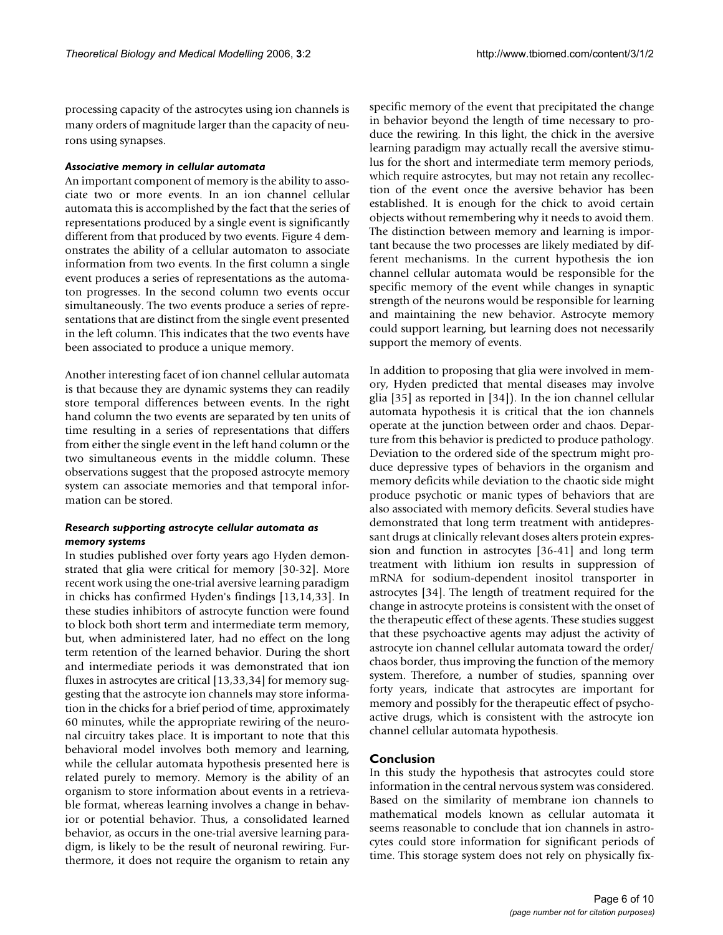processing capacity of the astrocytes using ion channels is many orders of magnitude larger than the capacity of neurons using synapses.

# *Associative memory in cellular automata*

An important component of memory is the ability to associate two or more events. In an ion channel cellular automata this is accomplished by the fact that the series of representations produced by a single event is significantly different from that produced by two events. Figure 4 demonstrates the ability of a cellular automaton to associate information from two events. In the first column a single event produces a series of representations as the automaton progresses. In the second column two events occur simultaneously. The two events produce a series of representations that are distinct from the single event presented in the left column. This indicates that the two events have been associated to produce a unique memory.

Another interesting facet of ion channel cellular automata is that because they are dynamic systems they can readily store temporal differences between events. In the right hand column the two events are separated by ten units of time resulting in a series of representations that differs from either the single event in the left hand column or the two simultaneous events in the middle column. These observations suggest that the proposed astrocyte memory system can associate memories and that temporal information can be stored.

# *Research supporting astrocyte cellular automata as memory systems*

In studies published over forty years ago Hyden demonstrated that glia were critical for memory [30-32]. More recent work using the one-trial aversive learning paradigm in chicks has confirmed Hyden's findings [13,14,33]. In these studies inhibitors of astrocyte function were found to block both short term and intermediate term memory, but, when administered later, had no effect on the long term retention of the learned behavior. During the short and intermediate periods it was demonstrated that ion fluxes in astrocytes are critical [13,33,34] for memory suggesting that the astrocyte ion channels may store information in the chicks for a brief period of time, approximately 60 minutes, while the appropriate rewiring of the neuronal circuitry takes place. It is important to note that this behavioral model involves both memory and learning, while the cellular automata hypothesis presented here is related purely to memory. Memory is the ability of an organism to store information about events in a retrievable format, whereas learning involves a change in behavior or potential behavior. Thus, a consolidated learned behavior, as occurs in the one-trial aversive learning paradigm, is likely to be the result of neuronal rewiring. Furthermore, it does not require the organism to retain any specific memory of the event that precipitated the change in behavior beyond the length of time necessary to produce the rewiring. In this light, the chick in the aversive learning paradigm may actually recall the aversive stimulus for the short and intermediate term memory periods, which require astrocytes, but may not retain any recollection of the event once the aversive behavior has been established. It is enough for the chick to avoid certain objects without remembering why it needs to avoid them. The distinction between memory and learning is important because the two processes are likely mediated by different mechanisms. In the current hypothesis the ion channel cellular automata would be responsible for the specific memory of the event while changes in synaptic strength of the neurons would be responsible for learning and maintaining the new behavior. Astrocyte memory could support learning, but learning does not necessarily support the memory of events.

In addition to proposing that glia were involved in memory, Hyden predicted that mental diseases may involve glia [35] as reported in [34]). In the ion channel cellular automata hypothesis it is critical that the ion channels operate at the junction between order and chaos. Departure from this behavior is predicted to produce pathology. Deviation to the ordered side of the spectrum might produce depressive types of behaviors in the organism and memory deficits while deviation to the chaotic side might produce psychotic or manic types of behaviors that are also associated with memory deficits. Several studies have demonstrated that long term treatment with antidepressant drugs at clinically relevant doses alters protein expression and function in astrocytes [36-41] and long term treatment with lithium ion results in suppression of mRNA for sodium-dependent inositol transporter in astrocytes [34]. The length of treatment required for the change in astrocyte proteins is consistent with the onset of the therapeutic effect of these agents. These studies suggest that these psychoactive agents may adjust the activity of astrocyte ion channel cellular automata toward the order/ chaos border, thus improving the function of the memory system. Therefore, a number of studies, spanning over forty years, indicate that astrocytes are important for memory and possibly for the therapeutic effect of psychoactive drugs, which is consistent with the astrocyte ion channel cellular automata hypothesis.

# **Conclusion**

In this study the hypothesis that astrocytes could store information in the central nervous system was considered. Based on the similarity of membrane ion channels to mathematical models known as cellular automata it seems reasonable to conclude that ion channels in astrocytes could store information for significant periods of time. This storage system does not rely on physically fix-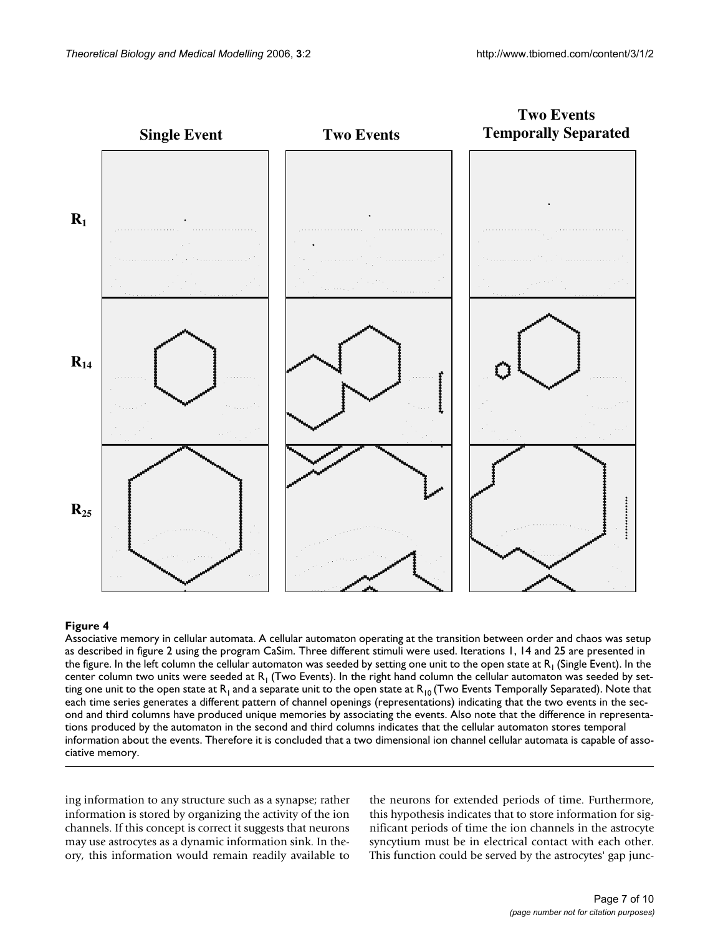

# **Figure 4**

Associative memory in cellular automata. A cellular automaton operating at the transition between order and chaos was setup as described in figure 2 using the program CaSim. Three different stimuli were used. Iterations 1, 14 and 25 are presented in the figure. In the left column the cellular automaton was seeded by setting one unit to the open state at  $R_1$  (Single Event). In the center column two units were seeded at  $R_1$  (Two Events). In the right hand column the cellular automaton was seeded by setting one unit to the open state at  $R_1$  and a separate unit to the open state at  $R_{10}$  (Two Events Temporally Separated). Note that each time series generates a different pattern of channel openings (representations) indicating that the two events in the second and third columns have produced unique memories by associating the events. Also note that the difference in representations produced by the automaton in the second and third columns indicates that the cellular automaton stores temporal information about the events. Therefore it is concluded that a two dimensional ion channel cellular automata is capable of associative memory.

ing information to any structure such as a synapse; rather information is stored by organizing the activity of the ion channels. If this concept is correct it suggests that neurons may use astrocytes as a dynamic information sink. In theory, this information would remain readily available to the neurons for extended periods of time. Furthermore, this hypothesis indicates that to store information for significant periods of time the ion channels in the astrocyte syncytium must be in electrical contact with each other. This function could be served by the astrocytes' gap junc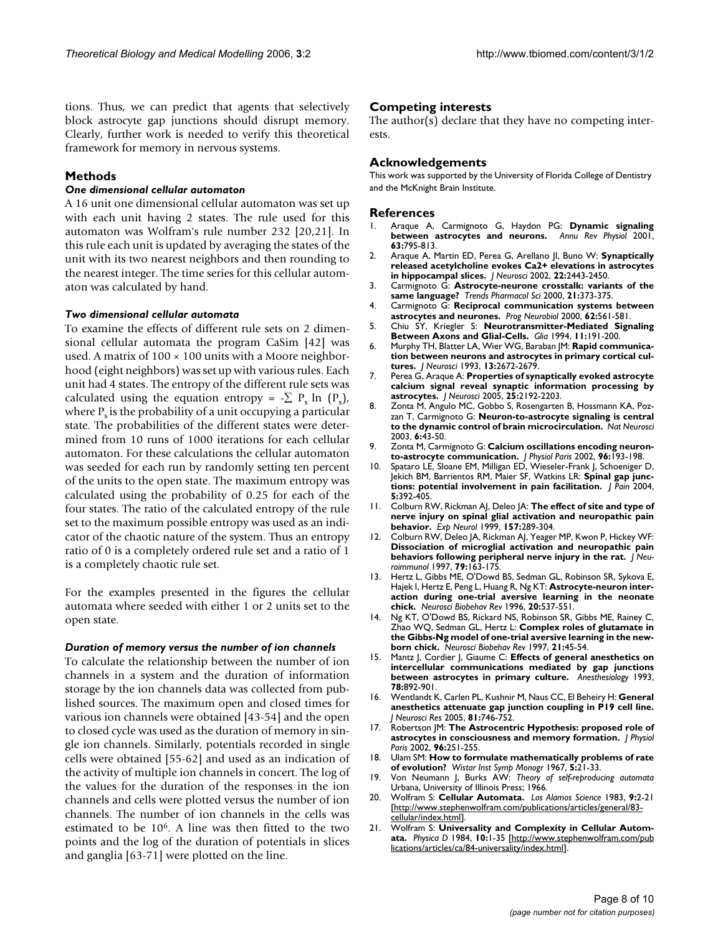tions. Thus, we can predict that agents that selectively block astrocyte gap junctions should disrupt memory. Clearly, further work is needed to verify this theoretical framework for memory in nervous systems.

#### **Methods**

#### *One dimensional cellular automaton*

A 16 unit one dimensional cellular automaton was set up with each unit having 2 states. The rule used for this automaton was Wolfram's rule number 232 [20,21]. In this rule each unit is updated by averaging the states of the unit with its two nearest neighbors and then rounding to the nearest integer. The time series for this cellular automaton was calculated by hand.

#### *Two dimensional cellular automata*

To examine the effects of different rule sets on 2 dimensional cellular automata the program CaSim [42] was used. A matrix of  $100 \times 100$  units with a Moore neighborhood (eight neighbors) was set up with various rules. Each unit had 4 states. The entropy of the different rule sets was calculated using the equation entropy =  $-\sum P_e \ln(P_e)$ , where  $P_s$  is the probability of a unit occupying a particular state. The probabilities of the different states were determined from 10 runs of 1000 iterations for each cellular automaton. For these calculations the cellular automaton was seeded for each run by randomly setting ten percent of the units to the open state. The maximum entropy was calculated using the probability of 0.25 for each of the four states. The ratio of the calculated entropy of the rule set to the maximum possible entropy was used as an indicator of the chaotic nature of the system. Thus an entropy ratio of 0 is a completely ordered rule set and a ratio of 1 is a completely chaotic rule set.

For the examples presented in the figures the cellular automata where seeded with either 1 or 2 units set to the open state.

#### *Duration of memory versus the number of ion channels*

To calculate the relationship between the number of ion channels in a system and the duration of information storage by the ion channels data was collected from published sources. The maximum open and closed times for various ion channels were obtained [43-54] and the open to closed cycle was used as the duration of memory in single ion channels. Similarly, potentials recorded in single cells were obtained [55-62] and used as an indication of the activity of multiple ion channels in concert. The log of the values for the duration of the responses in the ion channels and cells were plotted versus the number of ion channels. The number of ion channels in the cells was estimated to be 106. A line was then fitted to the two points and the log of the duration of potentials in slices and ganglia [63-71] were plotted on the line.

#### **Competing interests**

The author(s) declare that they have no competing interests.

#### **Acknowledgements**

This work was supported by the University of Florida College of Dentistry and the McKnight Brain Institute.

#### **References**

- 1. Araque A, Carmignoto G, Haydon PG: **[Dynamic signaling](http://www.ncbi.nlm.nih.gov/entrez/query.fcgi?cmd=Retrieve&db=PubMed&dopt=Abstract&list_uids=11181976) [between astrocytes and neurons.](http://www.ncbi.nlm.nih.gov/entrez/query.fcgi?cmd=Retrieve&db=PubMed&dopt=Abstract&list_uids=11181976)** *Annu Rev Physiol* 2001, **63:**795-813.
- 2. Araque A, Martin ED, Perea G, Arellano JI, Buno W: **[Synaptically](http://www.ncbi.nlm.nih.gov/entrez/query.fcgi?cmd=Retrieve&db=PubMed&dopt=Abstract&list_uids=11923408) [released acetylcholine evokes Ca2+ elevations in astrocytes](http://www.ncbi.nlm.nih.gov/entrez/query.fcgi?cmd=Retrieve&db=PubMed&dopt=Abstract&list_uids=11923408) [in hippocampal slices.](http://www.ncbi.nlm.nih.gov/entrez/query.fcgi?cmd=Retrieve&db=PubMed&dopt=Abstract&list_uids=11923408)** *J Neurosci* 2002, **22:**2443-2450.
- 3. Carmignoto G: **[Astrocyte-neurone crosstalk: variants of the](http://www.ncbi.nlm.nih.gov/entrez/query.fcgi?cmd=Retrieve&db=PubMed&dopt=Abstract&list_uids=11203390) [same language?](http://www.ncbi.nlm.nih.gov/entrez/query.fcgi?cmd=Retrieve&db=PubMed&dopt=Abstract&list_uids=11203390)** *Trends Pharmacol Sci* 2000, **21:**373-375.
- 4. Carmignoto G: **[Reciprocal communication systems between](http://www.ncbi.nlm.nih.gov/entrez/query.fcgi?cmd=Retrieve&db=PubMed&dopt=Abstract&list_uids=10880851) [astrocytes and neurones.](http://www.ncbi.nlm.nih.gov/entrez/query.fcgi?cmd=Retrieve&db=PubMed&dopt=Abstract&list_uids=10880851)** *Prog Neurobiol* 2000, **62:**561-581.
- 5. Chiu SY, Kriegler S: **[Neurotransmitter-Mediated Signaling](http://www.ncbi.nlm.nih.gov/entrez/query.fcgi?cmd=Retrieve&db=PubMed&dopt=Abstract&list_uids=7927647) [Between Axons and Glial-Cells.](http://www.ncbi.nlm.nih.gov/entrez/query.fcgi?cmd=Retrieve&db=PubMed&dopt=Abstract&list_uids=7927647)** *Glia* 1994, **11:**191-200.
- 6. Murphy TH, Blatter LA, Wier WG, Baraban JM: **[Rapid communica](http://www.ncbi.nlm.nih.gov/entrez/query.fcgi?cmd=Retrieve&db=PubMed&dopt=Abstract&list_uids=8501531)[tion between neurons and astrocytes in primary cortical cul](http://www.ncbi.nlm.nih.gov/entrez/query.fcgi?cmd=Retrieve&db=PubMed&dopt=Abstract&list_uids=8501531)[tures.](http://www.ncbi.nlm.nih.gov/entrez/query.fcgi?cmd=Retrieve&db=PubMed&dopt=Abstract&list_uids=8501531)** *J Neurosci* 1993, **13:**2672-2679.
- 7. Perea G, Araque A: **[Properties of synaptically evoked astrocyte](http://www.ncbi.nlm.nih.gov/entrez/query.fcgi?cmd=Retrieve&db=PubMed&dopt=Abstract&list_uids=15745945) [calcium signal reveal synaptic information processing by](http://www.ncbi.nlm.nih.gov/entrez/query.fcgi?cmd=Retrieve&db=PubMed&dopt=Abstract&list_uids=15745945) [astrocytes.](http://www.ncbi.nlm.nih.gov/entrez/query.fcgi?cmd=Retrieve&db=PubMed&dopt=Abstract&list_uids=15745945)** *J Neurosci* 2005, **25:**2192-2203.
- 8. Zonta M, Angulo MC, Gobbo S, Rosengarten B, Hossmann KA, Pozzan T, Carmignoto G: **[Neuron-to-astrocyte signaling is central](http://www.ncbi.nlm.nih.gov/entrez/query.fcgi?cmd=Retrieve&db=PubMed&dopt=Abstract&list_uids=12469126) [to the dynamic control of brain microcirculation.](http://www.ncbi.nlm.nih.gov/entrez/query.fcgi?cmd=Retrieve&db=PubMed&dopt=Abstract&list_uids=12469126)** *Nat Neurosci* 2003, **6:**43-50.
- 9. Zonta M, Carmignoto G: **[Calcium oscillations encoding neuron](http://www.ncbi.nlm.nih.gov/entrez/query.fcgi?cmd=Retrieve&db=PubMed&dopt=Abstract&list_uids=12445896)[to-astrocyte communication.](http://www.ncbi.nlm.nih.gov/entrez/query.fcgi?cmd=Retrieve&db=PubMed&dopt=Abstract&list_uids=12445896)** *J Physiol Paris* 2002, **96:**193-198.
- 10. Spataro LE, Sloane EM, Milligan ED, Wieseler-Frank J, Schoeniger D, Jekich BM, Barrientos RM, Maier SF, Watkins LR: **[Spinal gap junc](http://www.ncbi.nlm.nih.gov/entrez/query.fcgi?cmd=Retrieve&db=PubMed&dopt=Abstract&list_uids=15501197)[tions: potential involvement in pain facilitation.](http://www.ncbi.nlm.nih.gov/entrez/query.fcgi?cmd=Retrieve&db=PubMed&dopt=Abstract&list_uids=15501197)** *J Pain* 2004, **5:**392-405.
- 11. Colburn RW, Rickman AJ, Deleo JA: **[The effect of site and type of](http://www.ncbi.nlm.nih.gov/entrez/query.fcgi?cmd=Retrieve&db=PubMed&dopt=Abstract&list_uids=10364441) [nerve injury on spinal glial activation and neuropathic pain](http://www.ncbi.nlm.nih.gov/entrez/query.fcgi?cmd=Retrieve&db=PubMed&dopt=Abstract&list_uids=10364441) [behavior.](http://www.ncbi.nlm.nih.gov/entrez/query.fcgi?cmd=Retrieve&db=PubMed&dopt=Abstract&list_uids=10364441)** *Exp Neurol* 1999, **157:**289-304.
- 12. Colburn RW, Deleo JA, Rickman AJ, Yeager MP, Kwon P, Hickey WF: **[Dissociation of microglial activation and neuropathic pain](http://www.ncbi.nlm.nih.gov/entrez/query.fcgi?cmd=Retrieve&db=PubMed&dopt=Abstract&list_uids=9394789) [behaviors following peripheral nerve injury in the rat.](http://www.ncbi.nlm.nih.gov/entrez/query.fcgi?cmd=Retrieve&db=PubMed&dopt=Abstract&list_uids=9394789)** *J Neuroimmunol* 1997, **79:**163-175.
- 13. Hertz L, Gibbs ME, O'Dowd BS, Sedman GL, Robinson SR, Sykova E, Hajek I, Hertz E, Peng L, Huang R, Ng KT: **[Astrocyte-neuron inter](http://www.ncbi.nlm.nih.gov/entrez/query.fcgi?cmd=Retrieve&db=PubMed&dopt=Abstract&list_uids=8880738)[action during one-trial aversive learning in the neonate](http://www.ncbi.nlm.nih.gov/entrez/query.fcgi?cmd=Retrieve&db=PubMed&dopt=Abstract&list_uids=8880738) [chick.](http://www.ncbi.nlm.nih.gov/entrez/query.fcgi?cmd=Retrieve&db=PubMed&dopt=Abstract&list_uids=8880738)** *Neurosci Biobehav Rev* 1996, **20:**537-551.
- 14. Ng KT, O'Dowd BS, Rickard NS, Robinson SR, Gibbs ME, Rainey C, Zhao WQ, Sedman GL, Hertz L: **[Complex roles of glutamate in](http://www.ncbi.nlm.nih.gov/entrez/query.fcgi?cmd=Retrieve&db=PubMed&dopt=Abstract&list_uids=8994208) [the Gibbs-Ng model of one-trial aversive learning in the new](http://www.ncbi.nlm.nih.gov/entrez/query.fcgi?cmd=Retrieve&db=PubMed&dopt=Abstract&list_uids=8994208)[born chick.](http://www.ncbi.nlm.nih.gov/entrez/query.fcgi?cmd=Retrieve&db=PubMed&dopt=Abstract&list_uids=8994208)** *Neurosci Biobehav Rev* 1997, **21:**45-54.
- 15. Mantz J, Cordier J, Giaume C: **[Effects of general anesthetics on](http://www.ncbi.nlm.nih.gov/entrez/query.fcgi?cmd=Retrieve&db=PubMed&dopt=Abstract&list_uids=7683851) [intercellular communications mediated by gap junctions](http://www.ncbi.nlm.nih.gov/entrez/query.fcgi?cmd=Retrieve&db=PubMed&dopt=Abstract&list_uids=7683851) [between astrocytes in primary culture.](http://www.ncbi.nlm.nih.gov/entrez/query.fcgi?cmd=Retrieve&db=PubMed&dopt=Abstract&list_uids=7683851)** *Anesthesiology* 1993, **78:**892-901.
- 16. Wentlandt K, Carlen PL, Kushnir M, Naus CC, El Beheiry H: **[General](http://www.ncbi.nlm.nih.gov/entrez/query.fcgi?cmd=Retrieve&db=PubMed&dopt=Abstract&list_uids=15971264) [anesthetics attenuate gap junction coupling in P19 cell line.](http://www.ncbi.nlm.nih.gov/entrez/query.fcgi?cmd=Retrieve&db=PubMed&dopt=Abstract&list_uids=15971264)** *J Neurosci Res* 2005, **81:**746-752.
- 17. Robertson JM: **[The Astrocentric Hypothesis: proposed role of](http://www.ncbi.nlm.nih.gov/entrez/query.fcgi?cmd=Retrieve&db=PubMed&dopt=Abstract&list_uids=12445903) [astrocytes in consciousness and memory formation.](http://www.ncbi.nlm.nih.gov/entrez/query.fcgi?cmd=Retrieve&db=PubMed&dopt=Abstract&list_uids=12445903)** *J Physiol Paris* 2002, **96:**251-255.
- 18. Ulam SM: **[How to formulate mathematically problems of rate](http://www.ncbi.nlm.nih.gov/entrez/query.fcgi?cmd=Retrieve&db=PubMed&dopt=Abstract&list_uids=6051128) [of evolution?](http://www.ncbi.nlm.nih.gov/entrez/query.fcgi?cmd=Retrieve&db=PubMed&dopt=Abstract&list_uids=6051128)** *Wistar Inst Symp Monogr* 1967, **5:**21-33.
- 19. Von Neumann J, Burks AW: *Theory of self-reproducing automata* Urbana, University of Illinois Press; 1966.
- 20. Wolfram S: **Cellular Automata.** *Los Alamos Science* 1983, **9:**2-21 [[http://www.stephenwolfram.com/publications/articles/general/83](http://www.stephenwolfram.com/publications/articles/general/83-cellular/index.html) [cellular/index.html](http://www.stephenwolfram.com/publications/articles/general/83-cellular/index.html)].
- 21. Wolfram S: **Universality and Complexity in Cellular Automata.** *Physica D* 1984, **10:**1-35 [\[http://www.stephenwolfram.com/pub](http://www.stephenwolfram.com/publications/articles/ca/84-universality/index.html) [lications/articles/ca/84-universality/index.html](http://www.stephenwolfram.com/publications/articles/ca/84-universality/index.html)].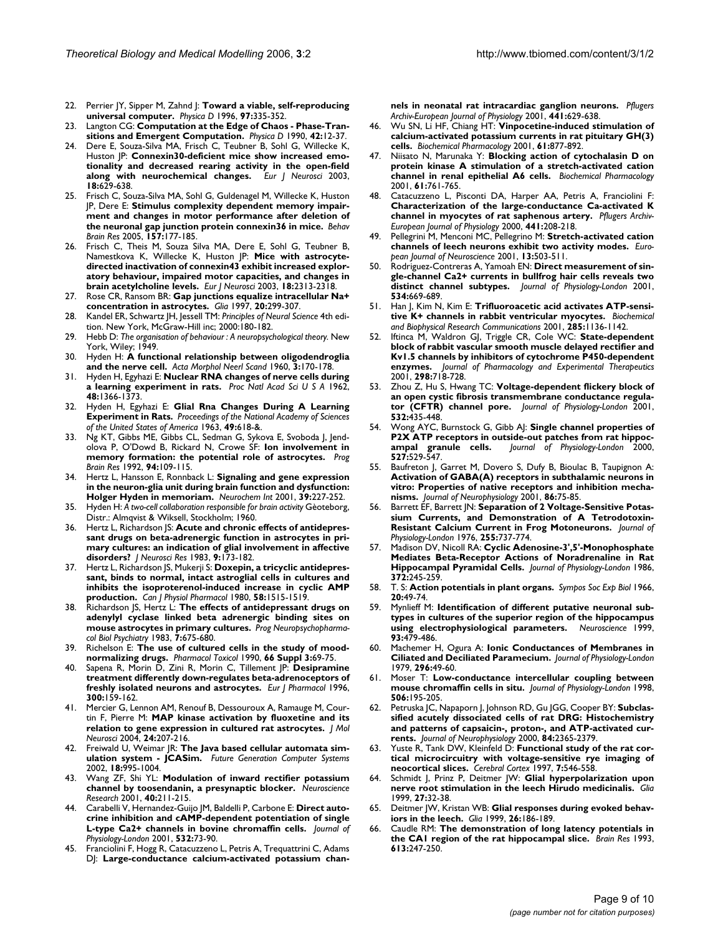- 22. Perrier JY, Sipper M, Zahnd J: **Toward a viable, self-reproducing universal computer.** *Physica D* 1996, **97:**335-352.
- 23. Langton CG: **Computation at the Edge of Chaos Phase-Transitions and Emergent Computation.** *Physica D* 1990, **42:**12-37.
- 24. Dere E, Souza-Silva MA, Frisch C, Teubner B, Sohl G, Willecke K, Huston JP: **[Connexin30-deficient mice show increased emo](http://www.ncbi.nlm.nih.gov/entrez/query.fcgi?cmd=Retrieve&db=PubMed&dopt=Abstract&list_uids=12911759)[tionality and decreased rearing activity in the open-field](http://www.ncbi.nlm.nih.gov/entrez/query.fcgi?cmd=Retrieve&db=PubMed&dopt=Abstract&list_uids=12911759) [along with neurochemical changes.](http://www.ncbi.nlm.nih.gov/entrez/query.fcgi?cmd=Retrieve&db=PubMed&dopt=Abstract&list_uids=12911759)** *Eur J Neurosci* 2003, **18:**629-638.
- 25. Frisch C, Souza-Silva MA, Sohl G, Guldenagel M, Willecke K, Huston JP, Dere E: **[Stimulus complexity dependent memory impair](http://www.ncbi.nlm.nih.gov/entrez/query.fcgi?cmd=Retrieve&db=PubMed&dopt=Abstract&list_uids=15617784)[ment and changes in motor performance after deletion of](http://www.ncbi.nlm.nih.gov/entrez/query.fcgi?cmd=Retrieve&db=PubMed&dopt=Abstract&list_uids=15617784) [the neuronal gap junction protein connexin36 in mice.](http://www.ncbi.nlm.nih.gov/entrez/query.fcgi?cmd=Retrieve&db=PubMed&dopt=Abstract&list_uids=15617784)** *Behav Brain Res* 2005, **157:**177-185.
- 26. Frisch C, Theis M, Souza Silva MA, Dere E, Sohl G, Teubner B, Namestkova K, Willecke K, Huston JP: **[Mice with astrocyte](http://www.ncbi.nlm.nih.gov/entrez/query.fcgi?cmd=Retrieve&db=PubMed&dopt=Abstract&list_uids=14622192)directed inactivation of connexin43 exhibit increased explor[atory behaviour, impaired motor capacities, and changes in](http://www.ncbi.nlm.nih.gov/entrez/query.fcgi?cmd=Retrieve&db=PubMed&dopt=Abstract&list_uids=14622192) [brain acetylcholine levels.](http://www.ncbi.nlm.nih.gov/entrez/query.fcgi?cmd=Retrieve&db=PubMed&dopt=Abstract&list_uids=14622192)** *Eur J Neurosci* 2003, **18:**2313-2318.
- 27. Rose CR, Ransom BR: **[Gap junctions equalize intracellular Na+](http://www.ncbi.nlm.nih.gov/entrez/query.fcgi?cmd=Retrieve&db=PubMed&dopt=Abstract&list_uids=9262234) [concentration in astrocytes.](http://www.ncbi.nlm.nih.gov/entrez/query.fcgi?cmd=Retrieve&db=PubMed&dopt=Abstract&list_uids=9262234)** *Glia* 1997, **20:**299-307.
- 28. Kandel ER, Schwartz JH, Jessell TM: *Principles of Neural Science* 4th edition. New York, McGraw-Hill inc; 2000:180-182.
- 29. Hebb D: *The organisation of behaviour : A neuropsychological theory.* New York, Wiley; 1949.
- 30. Hyden H: **[A functional relationship between oligodendroglia](http://www.ncbi.nlm.nih.gov/entrez/query.fcgi?cmd=Retrieve&db=PubMed&dopt=Abstract&list_uids=14405714) [and the nerve cell.](http://www.ncbi.nlm.nih.gov/entrez/query.fcgi?cmd=Retrieve&db=PubMed&dopt=Abstract&list_uids=14405714)** *Acta Morphol Neerl Scand* 1960, **3:**170-178.
- 31. Hyden H, Egyhazi E: **[Nuclear RNA changes of nerve cells during](http://www.ncbi.nlm.nih.gov/entrez/query.fcgi?cmd=Retrieve&db=PubMed&dopt=Abstract&list_uids=14450327) [a learning experiment in rats.](http://www.ncbi.nlm.nih.gov/entrez/query.fcgi?cmd=Retrieve&db=PubMed&dopt=Abstract&list_uids=14450327)** *Proc Natl Acad Sci U S A* 1962, **48:**1366-1373.
- 32. Hyden H, Egyhazi E: **Glial Rna Changes During A Learning Experiment in Rats.** *Proceedings of the National Academy of Sciences of the United States of America* 1963, **49:**618-&.
- 33. Ng KT, Gibbs ME, Gibbs CL, Sedman G, Sykova E, Svoboda J, Jendolova P, O'Dowd B, Rickard N, Crowe SF: **[Ion involvement in](http://www.ncbi.nlm.nih.gov/entrez/query.fcgi?cmd=Retrieve&db=PubMed&dopt=Abstract&list_uids=1283788) [memory formation: the potential role of astrocytes.](http://www.ncbi.nlm.nih.gov/entrez/query.fcgi?cmd=Retrieve&db=PubMed&dopt=Abstract&list_uids=1283788)** *Prog Brain Res* 1992, **94:**109-115.
- 34. Hertz L, Hansson E, Ronnback L: **[Signaling and gene expression](http://www.ncbi.nlm.nih.gov/entrez/query.fcgi?cmd=Retrieve&db=PubMed&dopt=Abstract&list_uids=11434981) [in the neuron-glia unit during brain function and dysfunction:](http://www.ncbi.nlm.nih.gov/entrez/query.fcgi?cmd=Retrieve&db=PubMed&dopt=Abstract&list_uids=11434981) [Holger Hyden in memoriam.](http://www.ncbi.nlm.nih.gov/entrez/query.fcgi?cmd=Retrieve&db=PubMed&dopt=Abstract&list_uids=11434981)** *Neurochem Int* 2001, **39:**227-252.
- 35. Hyden H: *A two-cell collaboration responsible for brain activity* Gèoteborg, Distr.: Almqvist & Wiksell, Stockholm; 1960.
- 36. Hertz L, Richardson JS: **[Acute and chronic effects of antidepres](http://www.ncbi.nlm.nih.gov/entrez/query.fcgi?cmd=Retrieve&db=PubMed&dopt=Abstract&list_uids=6302296)sant drugs on beta-adrenergic function in astrocytes in pri[mary cultures: an indication of glial involvement in affective](http://www.ncbi.nlm.nih.gov/entrez/query.fcgi?cmd=Retrieve&db=PubMed&dopt=Abstract&list_uids=6302296) [disorders?](http://www.ncbi.nlm.nih.gov/entrez/query.fcgi?cmd=Retrieve&db=PubMed&dopt=Abstract&list_uids=6302296)** *J Neurosci Res* 1983, **9:**173-182.
- 37. Hertz L, Richardson JS, Mukerji S: **[Doxepin, a tricyclic antidepres](http://www.ncbi.nlm.nih.gov/entrez/query.fcgi?cmd=Retrieve&db=PubMed&dopt=Abstract&list_uids=6263430)sant, binds to normal, intact astroglial cells in cultures and [inhibits the isoproterenol-induced increase in cyclic AMP](http://www.ncbi.nlm.nih.gov/entrez/query.fcgi?cmd=Retrieve&db=PubMed&dopt=Abstract&list_uids=6263430) [production.](http://www.ncbi.nlm.nih.gov/entrez/query.fcgi?cmd=Retrieve&db=PubMed&dopt=Abstract&list_uids=6263430)** *Can J Physiol Pharmacol* 1980, **58:**1515-1519.
- 38. Richardson JS, Hertz L: **[The effects of antidepressant drugs on](http://www.ncbi.nlm.nih.gov/entrez/query.fcgi?cmd=Retrieve&db=PubMed&dopt=Abstract&list_uids=6320303) [adenylyl cyclase linked beta adrenergic binding sites on](http://www.ncbi.nlm.nih.gov/entrez/query.fcgi?cmd=Retrieve&db=PubMed&dopt=Abstract&list_uids=6320303) [mouse astrocytes in primary cultures.](http://www.ncbi.nlm.nih.gov/entrez/query.fcgi?cmd=Retrieve&db=PubMed&dopt=Abstract&list_uids=6320303)** *Prog Neuropsychopharmacol Biol Psychiatry* 1983, **7:**675-680.
- 39. Richelson E: **[The use of cultured cells in the study of mood](http://www.ncbi.nlm.nih.gov/entrez/query.fcgi?cmd=Retrieve&db=PubMed&dopt=Abstract&list_uids=2179933)[normalizing drugs.](http://www.ncbi.nlm.nih.gov/entrez/query.fcgi?cmd=Retrieve&db=PubMed&dopt=Abstract&list_uids=2179933)** *Pharmacol Toxicol* 1990, **66 Suppl 3:**69-75.
- 40. Sapena R, Morin D, Zini R, Morin C, Tillement JP: **[Desipramine](http://www.ncbi.nlm.nih.gov/entrez/query.fcgi?cmd=Retrieve&db=PubMed&dopt=Abstract&list_uids=8741184) [treatment differently down-regulates beta-adrenoceptors of](http://www.ncbi.nlm.nih.gov/entrez/query.fcgi?cmd=Retrieve&db=PubMed&dopt=Abstract&list_uids=8741184) [freshly isolated neurons and astrocytes.](http://www.ncbi.nlm.nih.gov/entrez/query.fcgi?cmd=Retrieve&db=PubMed&dopt=Abstract&list_uids=8741184)** *Eur J Pharmacol* 1996, **300:**159-162.
- 41. Mercier G, Lennon AM, Renouf B, Dessouroux A, Ramauge M, Courtin F, Pierre M: **[MAP kinase activation by fluoxetine and its](http://www.ncbi.nlm.nih.gov/entrez/query.fcgi?cmd=Retrieve&db=PubMed&dopt=Abstract&list_uids=15456934) [relation to gene expression in cultured rat astrocytes.](http://www.ncbi.nlm.nih.gov/entrez/query.fcgi?cmd=Retrieve&db=PubMed&dopt=Abstract&list_uids=15456934)** *J Mol Neurosci* 2004, **24:**207-216.
- 42. Freiwald U, Weimar JR: **The Java based cellular automata simulation system - JCASim.** *Future Generation Computer Systems* 2002, **18:**995-1004.
- 43. Wang ZF, Shi YL: **[Modulation of inward rectifier potassium](http://www.ncbi.nlm.nih.gov/entrez/query.fcgi?cmd=Retrieve&db=PubMed&dopt=Abstract&list_uids=11448512) [channel by toosendanin, a presynaptic blocker.](http://www.ncbi.nlm.nih.gov/entrez/query.fcgi?cmd=Retrieve&db=PubMed&dopt=Abstract&list_uids=11448512)** *Neuroscience Research* 2001, **40:**211-215.
- 44. Carabelli V, Hernandez-Guijo JM, Baldelli P, Carbone E: **Direct autocrine inhibition and cAMP-dependent potentiation of single L-type Ca2+ channels in bovine chromaffin cells.** *Journal of Physiology-London* 2001, **532:**73-90.
- 45. Franciolini F, Hogg R, Catacuzzeno L, Petris A, Trequattrini C, Adams DJ: **[Large-conductance calcium-activated potassium chan-](http://www.ncbi.nlm.nih.gov/entrez/query.fcgi?cmd=Retrieve&db=PubMed&dopt=Abstract&list_uids=11294244)**

**[nels in neonatal rat intracardiac ganglion neurons.](http://www.ncbi.nlm.nih.gov/entrez/query.fcgi?cmd=Retrieve&db=PubMed&dopt=Abstract&list_uids=11294244)** *Pflugers Archiv-European Journal of Physiology* 2001, **441:**629-638.

- 46. Wu SN, Li HF, Chiang HT: **[Vinpocetine-induced stimulation of](http://www.ncbi.nlm.nih.gov/entrez/query.fcgi?cmd=Retrieve&db=PubMed&dopt=Abstract&list_uids=11274974) [calcium-activated potassium currents in rat pituitary GH\(3\)](http://www.ncbi.nlm.nih.gov/entrez/query.fcgi?cmd=Retrieve&db=PubMed&dopt=Abstract&list_uids=11274974) [cells.](http://www.ncbi.nlm.nih.gov/entrez/query.fcgi?cmd=Retrieve&db=PubMed&dopt=Abstract&list_uids=11274974)** *Biochemical Pharmacology* 2001, **61:**877-892.
- 47. Niisato N, Marunaka Y: **[Blocking action of cytochalasin D on](http://www.ncbi.nlm.nih.gov/entrez/query.fcgi?cmd=Retrieve&db=PubMed&dopt=Abstract&list_uids=11266662) [protein kinase A stimulation of a stretch-activated cation](http://www.ncbi.nlm.nih.gov/entrez/query.fcgi?cmd=Retrieve&db=PubMed&dopt=Abstract&list_uids=11266662) [channel in renal epithelial A6 cells.](http://www.ncbi.nlm.nih.gov/entrez/query.fcgi?cmd=Retrieve&db=PubMed&dopt=Abstract&list_uids=11266662)** *Biochemical Pharmacology* 2001, **61:**761-765.
- 48. Catacuzzeno L, Pisconti DA, Harper AA, Petris A, Franciolini F: **[Characterization of the large-conductance Ca-activated K](http://www.ncbi.nlm.nih.gov/entrez/query.fcgi?cmd=Retrieve&db=PubMed&dopt=Abstract&list_uids=11211105) [channel in myocytes of rat saphenous artery.](http://www.ncbi.nlm.nih.gov/entrez/query.fcgi?cmd=Retrieve&db=PubMed&dopt=Abstract&list_uids=11211105)** *Pflugers Archiv-European Journal of Physiology* 2000, **441:**208-218.
- 49. Pellegrini M, Menconi MC, Pellegrino M: **[Stretch-activated cation](http://www.ncbi.nlm.nih.gov/entrez/query.fcgi?cmd=Retrieve&db=PubMed&dopt=Abstract&list_uids=11168557) [channels of leech neurons exhibit two activity modes.](http://www.ncbi.nlm.nih.gov/entrez/query.fcgi?cmd=Retrieve&db=PubMed&dopt=Abstract&list_uids=11168557)** *European Journal of Neuroscience* 2001, **13:**503-511.
- Rodriguez-Contreras A, Yamoah EN: Direct measurement of sin**gle-channel Ca2+ currents in bullfrog hair cells reveals two distinct channel subtypes.** *Journal of Physiology-London* 2001, **534:**669-689.
- 51. Han J, Kim N, Kim E: **Trifluoroacetic acid activates ATP-sensitive K+ channels in rabbit ventricular myocytes.** *Biochemical and Biophysical Research Communications* 2001, **285:**1136-1142.
- 52. Iftinca M, Waldron GJ, Triggle CR, Cole WC: **State-dependent block of rabbit vascular smooth muscle delayed rectifier and Kv1.5 channels by inhibitors of cytochrome P450-dependent enzymes.** *Journal of Pharmacology and Experimental Therapeutics* 2001, **298:**718-728.
- 53. Zhou Z, Hu S, Hwang TC: **Voltage-dependent flickery block of an open cystic fibrosis transmembrane conductance regulator (CFTR) channel pore.** *Journal of Physiology-London* 2001, **532:**435-448.
- 54. Wong AYC, Burnstock G, Gibb AJ: **Single channel properties of P2X ATP receptors in outside-out patches from rat hippocampal granule cells.** *Journal of Physiology-London* 2000, **527:**529-547.
- 55. Baufreton J, Garret M, Dovero S, Dufy B, Bioulac B, Taupignon A: **Activation of GABA(A) receptors in subthalamic neurons in [vitro: Properties of native receptors and inhibition mecha](http://www.ncbi.nlm.nih.gov/entrez/query.fcgi?cmd=Retrieve&db=PubMed&dopt=Abstract&list_uids=11431489)[nisms.](http://www.ncbi.nlm.nih.gov/entrez/query.fcgi?cmd=Retrieve&db=PubMed&dopt=Abstract&list_uids=11431489)** *Journal of Neurophysiology* 2001, **86:**75-85.
- Barrett EF, Barrett JN: Separation of 2 Voltage-Sensitive Potas**sium Currents, and Demonstration of A Tetrodotoxin-Resistant Calcium Current in Frog Motoneurons.** *Journal of Physiology-London* 1976, **255:**737-774.
- 57. Madison DV, Nicoll RA: **Cyclic Adenosine-3',5'-Monophosphate Mediates Beta-Receptor Actions of Noradrenaline in Rat Hippocampal Pyramidal Cells.** *Journal of Physiology-London* 1986, **372:**245-259.
- 58. T. S: **[Action potentials in plant organs.](http://www.ncbi.nlm.nih.gov/entrez/query.fcgi?cmd=Retrieve&db=PubMed&dopt=Abstract&list_uids=5958369)** *Sympos Soc Exp Biol* 1966, **20:**49-74.
- 59. Mynlieff M: **[Identification of different putative neuronal sub](http://www.ncbi.nlm.nih.gov/entrez/query.fcgi?cmd=Retrieve&db=PubMed&dopt=Abstract&list_uids=10465430)[types in cultures of the superior region of the hippocampus](http://www.ncbi.nlm.nih.gov/entrez/query.fcgi?cmd=Retrieve&db=PubMed&dopt=Abstract&list_uids=10465430) [using electrophysiological parameters.](http://www.ncbi.nlm.nih.gov/entrez/query.fcgi?cmd=Retrieve&db=PubMed&dopt=Abstract&list_uids=10465430)** *Neuroscience* 1999, **93:**479-486.
- 60. Machemer H, Ogura A: **Ionic Conductances of Membranes in Ciliated and Deciliated Paramecium.** *Journal of Physiology-London* 1979, **296:**49-60.
- 61. Moser T: **Low-conductance intercellular coupling between mouse chromaffin cells in situ.** *Journal of Physiology-London* 1998, **506:**195-205.
- 62. Petruska JC, Napaporn J, Johnson RD, Gu JGG, Cooper BY: **[Subclas](http://www.ncbi.nlm.nih.gov/entrez/query.fcgi?cmd=Retrieve&db=PubMed&dopt=Abstract&list_uids=11067979)sified acutely dissociated cells of rat DRG: Histochemistry [and patterns of capsaicin-, proton-, and ATP-activated cur](http://www.ncbi.nlm.nih.gov/entrez/query.fcgi?cmd=Retrieve&db=PubMed&dopt=Abstract&list_uids=11067979)[rents.](http://www.ncbi.nlm.nih.gov/entrez/query.fcgi?cmd=Retrieve&db=PubMed&dopt=Abstract&list_uids=11067979)** *Journal of Neurophysiology* 2000, **84:**2365-2379.
- 63. Yuste R, Tank DW, Kleinfeld D: **[Functional study of the rat cor](http://www.ncbi.nlm.nih.gov/entrez/query.fcgi?cmd=Retrieve&db=PubMed&dopt=Abstract&list_uids=9276179)[tical microcircuitry with voltage-sensitive rye imaging of](http://www.ncbi.nlm.nih.gov/entrez/query.fcgi?cmd=Retrieve&db=PubMed&dopt=Abstract&list_uids=9276179) [neocortical slices.](http://www.ncbi.nlm.nih.gov/entrez/query.fcgi?cmd=Retrieve&db=PubMed&dopt=Abstract&list_uids=9276179)** *Cerebral Cortex* 1997, **7:**546-558.
- 64. Schmidt J, Prinz P, Deitmer JW: **[Glial hyperpolarization upon](http://www.ncbi.nlm.nih.gov/entrez/query.fcgi?cmd=Retrieve&db=PubMed&dopt=Abstract&list_uids=10401630) [nerve root stimulation in the leech Hirudo medicinalis.](http://www.ncbi.nlm.nih.gov/entrez/query.fcgi?cmd=Retrieve&db=PubMed&dopt=Abstract&list_uids=10401630)** *Glia* 1999, **27:**32-38.
- 65. Deitmer JW, Kristan WB: **[Glial responses during evoked behav](http://www.ncbi.nlm.nih.gov/entrez/query.fcgi?cmd=Retrieve&db=PubMed&dopt=Abstract&list_uids=10384883)[iors in the leech.](http://www.ncbi.nlm.nih.gov/entrez/query.fcgi?cmd=Retrieve&db=PubMed&dopt=Abstract&list_uids=10384883)** *Glia* 1999, **26:**186-189.
- 66. Caudle RM: **[The demonstration of long latency potentials in](http://www.ncbi.nlm.nih.gov/entrez/query.fcgi?cmd=Retrieve&db=PubMed&dopt=Abstract&list_uids=8186971) [the CA1 region of the rat hippocampal slice.](http://www.ncbi.nlm.nih.gov/entrez/query.fcgi?cmd=Retrieve&db=PubMed&dopt=Abstract&list_uids=8186971)** *Brain Res* 1993, **613:**247-250.